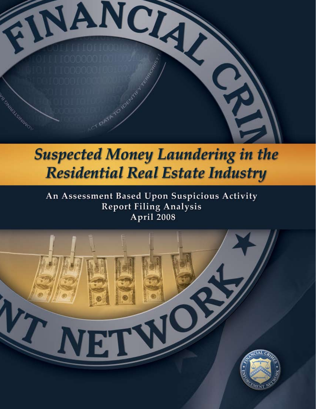

## **Suspected Money Laundering in the Residential Real Estate Industry**

An Assessment Based Upon Suspicious Activity **Report Filing Analysis** April 2008

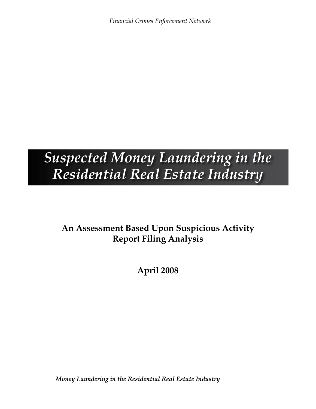*Financial Crimes Enforcement Network*

### *Suspected Money Laundering in the Residential Real Estate Industry*

### **An Assessment Based Upon Suspicious Activity Report Filing Analysis**

**April 2008**

*[Money Laundering in the Residential Real Estate Industry](#page-2-0)*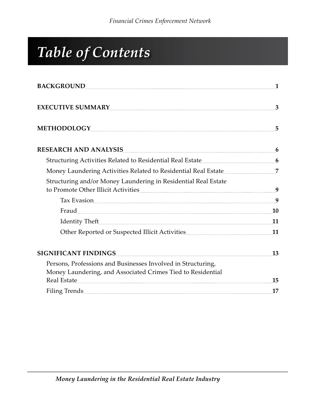# <span id="page-2-0"></span>*Table of Contents*

| BACKGROUND 1                                                                                                                                                                                                                   |    |
|--------------------------------------------------------------------------------------------------------------------------------------------------------------------------------------------------------------------------------|----|
| EXECUTIVE SUMMARY                                                                                                                                                                                                              |    |
| METHODOLOGY 5                                                                                                                                                                                                                  |    |
| RESEARCH AND ANALYSIS                                                                                                                                                                                                          |    |
|                                                                                                                                                                                                                                |    |
|                                                                                                                                                                                                                                |    |
| Structuring and/or Money Laundering in Residential Real Estate                                                                                                                                                                 |    |
| Tax Evasion 2008 and 2008 and 2008 and 2008 and 2008 and 2008 and 2008 and 2008 and 2008 and 2008 and 2008 and 2008 and 2008 and 2008 and 2008 and 2008 and 2008 and 2008 and 2008 and 2008 and 2008 and 2008 and 2008 and 200 |    |
|                                                                                                                                                                                                                                |    |
|                                                                                                                                                                                                                                |    |
|                                                                                                                                                                                                                                |    |
|                                                                                                                                                                                                                                | 13 |
| Persons, Professions and Businesses Involved in Structuring,                                                                                                                                                                   |    |
| Money Laundering, and Associated Crimes Tied to Residential                                                                                                                                                                    |    |
|                                                                                                                                                                                                                                | 15 |
| Filing Trends                                                                                                                                                                                                                  | 17 |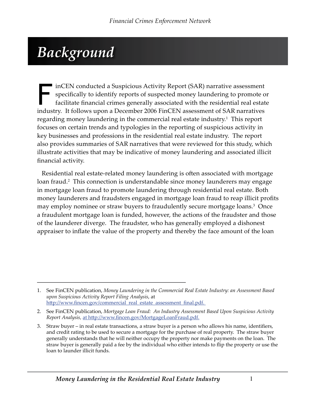### <span id="page-3-0"></span>*Background*

FinCEN conducted a Suspicious Activity Report (SAR) narrative assessment<br>specifically to identify reports of suspected money laundering to promote of<br>facilitate financial crimes generally associated with the residential re specifically to identify reports of suspected money laundering to promote or facilitate financial crimes generally associated with the residential real estate industry. It follows upon a December 2006 FinCEN assessment of SAR narratives regarding money laundering in the commercial real estate industry.<sup>1</sup> This report focuses on certain trends and typologies in the reporting of suspicious activity in key businesses and professions in the residential real estate industry. The report also provides summaries of SAR narratives that were reviewed for this study, which illustrate activities that may be indicative of money laundering and associated illicit financial activity.

Residential real estate-related money laundering is often associated with mortgage loan fraud.<sup>2</sup> This connection is understandable since money launderers may engage in mortgage loan fraud to promote laundering through residential real estate. Both money launderers and fraudsters engaged in mortgage loan fraud to reap illicit profits may employ nominee or straw buyers to fraudulently secure mortgage loans.<sup>3</sup> Once a fraudulent mortgage loan is funded, however, the actions of the fraudster and those of the launderer diverge. The fraudster, who has generally employed a dishonest appraiser to inflate the value of the property and thereby the face amount of the loan

<sup>1.</sup> See FinCEN publication, Money Laundering in the Commercial Real Estate Industry: an Assessment Based *upon Suspicious Activity Report Filing Analysis*, at http://www.fincen.gov/commercial\_real\_estate\_assessment\_final.pdf.

<sup>2.</sup> See FinCEN publication, Mortgage Loan Fraud: An Industry Assessment Based Upon Suspicious Activity *Report Analysis,* at http://www.fincen.gov/MortgageLoanFraud.pdf.

Straw buyer – in real estate transactions, a straw buyer is a person who allows his name, identifiers, 3.and credit rating to be used to secure a mortgage for the purchase of real property. The straw buyer generally understands that he will neither occupy the property nor make payments on the loan. The straw buyer is generally paid a fee by the individual who either intends to flip the property or use the loan to launder illicit funds.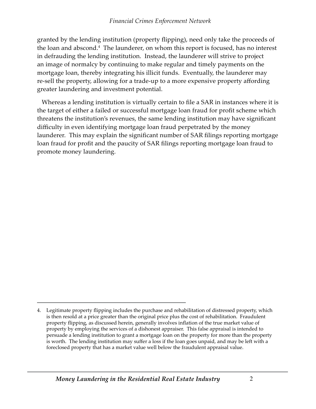granted by the lending institution (property flipping), need only take the proceeds of the loan and abscond.<sup>4</sup> The launderer, on whom this report is focused, has no interest in defrauding the lending institution. Instead, the launderer will strive to project an image of normalcy by continuing to make regular and timely payments on the mortgage loan, thereby integrating his illicit funds. Eventually, the launderer may re-sell the property, allowing for a trade-up to a more expensive property affording greater laundering and investment potential.

Whereas a lending institution is virtually certain to file a SAR in instances where it is the target of either a failed or successful mortgage loan fraud for profit scheme which threatens the institution's revenues, the same lending institution may have significant difficulty in even identifying mortgage loan fraud perpetrated by the money launderer. This may explain the significant number of SAR filings reporting mortgage loan fraud for profit and the paucity of SAR filings reporting mortgage loan fraud to promote money laundering.

Legitimate property flipping includes the purchase and rehabilitation of distressed property, which 4.is then resold at a price greater than the original price plus the cost of rehabilitation. Fraudulent property flipping, as discussed herein, generally involves inflation of the true market value of property by employing the services of a dishonest appraiser. This false appraisal is intended to persuade a lending institution to grant a mortgage loan on the property for more than the property is worth. The lending institution may suffer a loss if the loan goes unpaid, and may be left with a foreclosed property that has a market value well below the fraudulent appraisal value.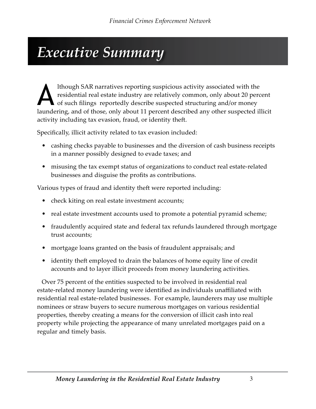### <span id="page-5-0"></span>*Executive Summary*

Ithough SAR narratives reporting suspicious activity associated with the residential real estate industry are relatively common, only about 20 perc of such filings reportedly describe suspected structuring and/or money lau residential real estate industry are relatively common, only about 20 percent of such filings reportedly describe suspected structuring and/or money laundering, and of those, only about 11 percent described any other suspected illicit activity including tax evasion, fraud, or identity theft.

Specifically, illicit activity related to tax evasion included:

- cashing checks payable to businesses and the diversion of cash business receipts in a manner possibly designed to evade taxes; and
- misusing the tax exempt status of organizations to conduct real estate-related businesses and disguise the profits as contributions.

Various types of fraud and identity theft were reported including:

- check kiting on real estate investment accounts;
- real estate investment accounts used to promote a potential pyramid scheme;
- fraudulently acquired state and federal tax refunds laundered through mortgage trust accounts;
- mortgage loans granted on the basis of fraudulent appraisals; and
- identity theft employed to drain the balances of home equity line of credit accounts and to layer illicit proceeds from money laundering activities.

Over 75 percent of the entities suspected to be involved in residential real estate-related money laundering were identified as individuals unaffiliated with residential real estate-related businesses. For example, launderers may use multiple nominees or straw buyers to secure numerous mortgages on various residential properties, thereby creating a means for the conversion of illicit cash into real property while projecting the appearance of many unrelated mortgages paid on a regular and timely basis.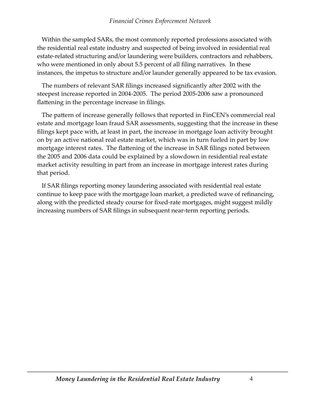Within the sampled SARs, the most commonly reported professions associated with the residential real estate industry and suspected of being involved in residential real estate-related structuring and/or laundering were builders, contractors and rehabbers, who were mentioned in only about 5.5 percent of all filing narratives. In these instances, the impetus to structure and/or launder generally appeared to be tax evasion.

The numbers of relevant SAR filings increased significantly after 2002 with the steepest increase reported in 2004-2005. The period 2005-2006 saw a pronounced flattening in the percentage increase in filings.

The pattern of increase generally follows that reported in FinCEN's commercial real estate and mortgage loan fraud SAR assessments, suggesting that the increase in these filings kept pace with, at least in part, the increase in mortgage loan activity brought on by an active national real estate market, which was in turn fueled in part by low mortgage interest rates. The flattening of the increase in SAR filings noted between the 2005 and 2006 data could be explained by a slowdown in residential real estate market activity resulting in part from an increase in mortgage interest rates during that period.

If SAR filings reporting money laundering associated with residential real estate continue to keep pace with the mortgage loan market, a predicted wave of refinancing, along with the predicted steady course for fixed-rate mortgages, might suggest mildly increasing numbers of SAR filings in subsequent near-term reporting periods.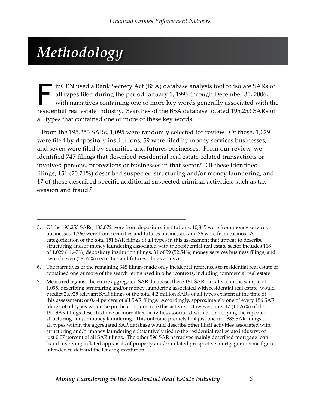## <span id="page-7-0"></span>*Methodology*

inCEN used a Bank Secrecy Act (BSA) database analysis tool to isolate SARs of<br>all types filed during the period January 1, 1996 through December 31, 2006,<br>with narratives containing one or more key words generally associat all types filed during the period January 1, 1996 through December 31, 2006, with narratives containing one or more key words generally associated with the residential real estate industry. Searches of the BSA database located 195,253 SARs of all types that contained one or more of these key words.<sup>5</sup>

From the 195,253 SARs, 1,095 were randomly selected for review. Of these, 1,029 were filed by depository institutions, 59 were filed by money services businesses, and seven were filed by securities and futures businesses. From our review, we identified 747 filings that described residential real estate-related transactions or involved persons, professions or businesses in that sector.6 Of these identified filings, 151 (20.21%) described suspected structuring and/or money laundering, and 17 of those described specific additional suspected criminal activities, such as tax evasion and fraud.<sup>7</sup>

Of the 195,253 SARs, 183,072 were from depository institutions, 10,845 were from money services 5. businesses, 1,260 were from securities and futures businesses, and 76 were from casinos. A categorization of the total 151 SAR filings of all types in this assessment that appear to describe structuring and/or money laundering associated with the residential real estate sector includes 118 of 1,029 (11.47%) depository institution filings, 31 of 59 (52.54%) money services business filings, and two of seven (28.57%) securities and futures filings analyzed.

The narratives of the remaining 348 filings made only incidental references to residential real estate or 6. contained one or more of the search terms used in other contexts, including commercial real estate.

Measured against the entire aggregated SAR database, these 151 SAR narratives in the sample of 7.1,095, describing structuring and/or money laundering associated with residential real estate, would predict 26,925 relevant SAR filings of the total 4.2 million SARs of all types existent at the time of this assessment; or 0.64 percent of all SAR filings. Accordingly, approximately one of every 156 SAR filings of all types would be predicted to describe this activity. However, only 17 (11.26%) of the 151 SAR filings described one or more illicit activities associated with or underlying the reported structuring and/or money laundering. This outcome predicts that just one in 1,385 SAR filings of all types within the aggregated SAR database would describe other illicit activities associated with structuring and/or money laundering substantively tied to the residential real estate industry; or just 0.07 percent of all SAR filings. The other 596 SAR narratives mainly described mortgage loan fraud involving inflated appraisals of property and/or inflated prospective mortgagor income figures intended to defraud the lending institution.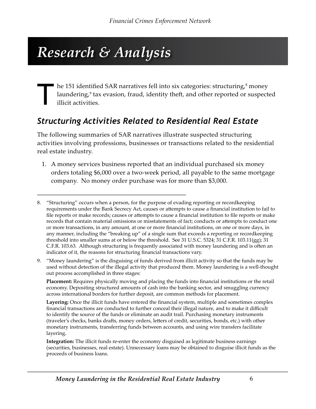## <span id="page-8-0"></span>*Research & Analysis*

The 151 identified SAR narratives fell into six categories: structuring,<sup>8</sup> laundering,<sup>9</sup> tax evasion, fraud, identity theft, and other reported or illicit activities. he 151 identified SAR narratives fell into six categories: structuring,<sup>8</sup> money laundering,<sup>9</sup> tax evasion, fraud, identity theft, and other reported or suspected illicit activities.

#### *Structuring Activities Related to Residential Real Estate*

The following summaries of SAR narratives illustrate suspected structuring activities involving professions, businesses or transactions related to the residential real estate industry.

A money services business reported that an individual purchased six money 1. orders totaling \$6,000 over a two-week period, all payable to the same mortgage company. No money order purchase was for more than \$3,000.

"Money laundering" is the disguising of funds derived from illicit activity so that the funds may be 9.used without detection of the illegal activity that produced them. Money laundering is a well-thought out process accomplished in three stages:

**Placement:** Requires physically moving and placing the funds into financial institutions or the retail economy. Depositing structured amounts of cash into the banking sector, and smuggling currency across international borders for further deposit, are common methods for placement.

**Layering:** Once the illicit funds have entered the financial system, multiple and sometimes complex financial transactions are conducted to further conceal their illegal nature, and to make it difficult to identify the source of the funds or eliminate an audit trail. Purchasing monetary instruments (traveler's checks, banks drafts, money orders, letters of credit, securities, bonds, etc.) with other monetary instruments, transferring funds between accounts, and using wire transfers facilitate layering.

**Integration:** The illicit funds re-enter the economy disguised as legitimate business earnings (securities, businesses, real estate). Unnecessary loans may be obtained to disguise illicit funds as the proceeds of business loans.

<sup>&</sup>quot;Structuring" occurs when a person, for the purpose of evading reporting or recordkeeping 8. requirements under the Bank Secrecy Act, causes or attempts to cause a financial institution to fail to file reports or make records; causes or attempts to cause a financial institution to file reports or make records that contain material omissions or misstatements of fact; conducts or attempts to conduct one or more transactions, in any amount, at one or more financial institutions, on one or more days, in any manner, including the "breaking up" of a single sum that exceeds a reporting or recordkeeping threshold into smaller sums at or below the threshold. See 31 U.S.C. 5324; 31 C.F.R. 103.11(gg); 31 C.F.R. 103.63. Although structuring is frequently associated with money laundering and is often an indicator of it, the reasons for structuring financial transactions vary.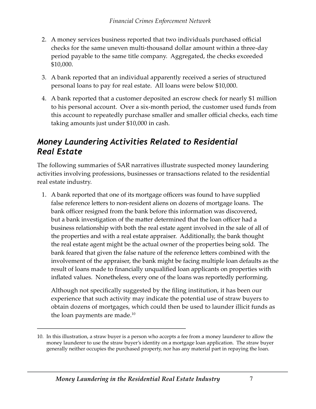- <span id="page-9-0"></span>A money services business reported that two individuals purchased official 2. checks for the same uneven multi-thousand dollar amount within a three-day period payable to the same title company. Aggregated, the checks exceeded \$10,000.
- A bank reported that an individual apparently received a series of structured 3. personal loans to pay for real estate. All loans were below \$10,000.
- A bank reported that a customer deposited an escrow check for nearly \$1 million 4. to his personal account. Over a six-month period, the customer used funds from this account to repeatedly purchase smaller and smaller official checks, each time taking amounts just under \$10,000 in cash.

### *Money Laundering Activities Related to Residential Real Estate*

The following summaries of SAR narratives illustrate suspected money laundering activities involving professions, businesses or transactions related to the residential real estate industry.

1. A bank reported that one of its mortgage officers was found to have supplied false reference letters to non-resident aliens on dozens of mortgage loans. The bank officer resigned from the bank before this information was discovered, but a bank investigation of the matter determined that the loan officer had a business relationship with both the real estate agent involved in the sale of all of the properties and with a real estate appraiser. Additionally, the bank thought the real estate agent might be the actual owner of the properties being sold. The bank feared that given the false nature of the reference letters combined with the involvement of the appraiser, the bank might be facing multiple loan defaults as the result of loans made to financially unqualified loan applicants on properties with inflated values. Nonetheless, every one of the loans was reportedly performing.

Although not specifically suggested by the filing institution, it has been our experience that such activity may indicate the potential use of straw buyers to obtain dozens of mortgages, which could then be used to launder illicit funds as the loan payments are made. $10$ 

In this illustration, a straw buyer is a person who accepts a fee from a money launderer to allow the 10.money launderer to use the straw buyer's identity on a mortgage loan application. The straw buyer generally neither occupies the purchased property, nor has any material part in repaying the loan.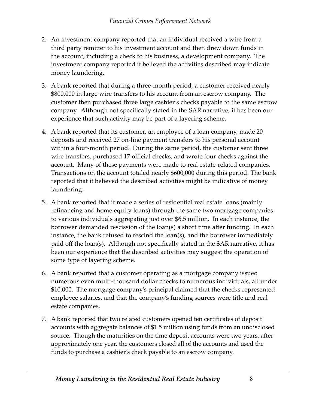- 2. An investment company reported that an individual received a wire from a third party remitter to his investment account and then drew down funds in the account, including a check to his business, a development company. The investment company reported it believed the activities described may indicate money laundering.
- 3. A bank reported that during a three-month period, a customer received nearly \$800,000 in large wire transfers to his account from an escrow company. The customer then purchased three large cashier's checks payable to the same escrow company. Although not specifically stated in the SAR narrative, it has been our experience that such activity may be part of a layering scheme.
- 4. A bank reported that its customer, an employee of a loan company, made 20 deposits and received 27 on-line payment transfers to his personal account within a four-month period. During the same period, the customer sent three wire transfers, purchased 17 official checks, and wrote four checks against the account. Many of these payments were made to real estate-related companies. Transactions on the account totaled nearly \$600,000 during this period. The bank reported that it believed the described activities might be indicative of money laundering.
- 5. A bank reported that it made a series of residential real estate loans (mainly refinancing and home equity loans) through the same two mortgage companies to various individuals aggregating just over \$6.5 million. In each instance, the borrower demanded rescission of the loan(s) a short time after funding. In each instance, the bank refused to rescind the loan(s), and the borrower immediately paid off the loan(s). Although not specifically stated in the SAR narrative, it has been our experience that the described activities may suggest the operation of some type of layering scheme.
- 6. A bank reported that a customer operating as a mortgage company issued numerous even multi-thousand dollar checks to numerous individuals, all under \$10,000. The mortgage company's principal claimed that the checks represented employee salaries, and that the company's funding sources were title and real estate companies.
- 7. A bank reported that two related customers opened ten certificates of deposit accounts with aggregate balances of \$1.5 million using funds from an undisclosed source. Though the maturities on the time deposit accounts were two years, after approximately one year, the customers closed all of the accounts and used the funds to purchase a cashier's check payable to an escrow company.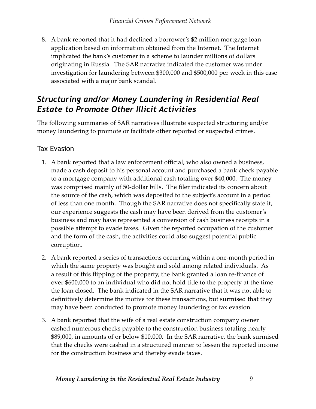<span id="page-11-0"></span>8. A bank reported that it had declined a borrower's \$2 million mortgage loan application based on information obtained from the Internet. The Internet implicated the bank's customer in a scheme to launder millions of dollars originating in Russia. The SAR narrative indicated the customer was under investigation for laundering between \$300,000 and \$500,000 per week in this case associated with a major bank scandal.

### *Structuring and/or Money Laundering in Residential Real Estate to Promote Other Illicit Activities*

The following summaries of SAR narratives illustrate suspected structuring and/or money laundering to promote or facilitate other reported or suspected crimes.

#### Tax Evasion

- A bank reported that a law enforcement official, who also owned a business, 1. made a cash deposit to his personal account and purchased a bank check payable to a mortgage company with additional cash totaling over \$40,000. The money was comprised mainly of 50-dollar bills. The filer indicated its concern about the source of the cash, which was deposited to the subject's account in a period of less than one month. Though the SAR narrative does not specifically state it, our experience suggests the cash may have been derived from the customer's business and may have represented a conversion of cash business receipts in a possible attempt to evade taxes. Given the reported occupation of the customer and the form of the cash, the activities could also suggest potential public corruption.
- A bank reported a series of transactions occurring within a one-month period in 2. which the same property was bought and sold among related individuals. As a result of this flipping of the property, the bank granted a loan re-finance of over \$600,000 to an individual who did not hold title to the property at the time the loan closed. The bank indicated in the SAR narrative that it was not able to definitively determine the motive for these transactions, but surmised that they may have been conducted to promote money laundering or tax evasion.
- A bank reported that the wife of a real estate construction company owner 3.cashed numerous checks payable to the construction business totaling nearly \$89,000, in amounts of or below \$10,000. In the SAR narrative, the bank surmised that the checks were cashed in a structured manner to lessen the reported income for the construction business and thereby evade taxes.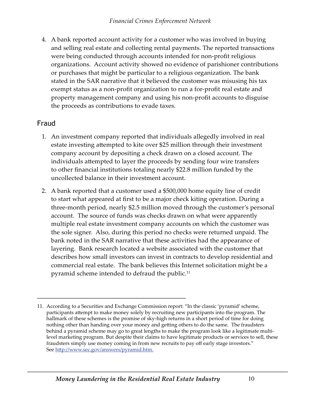<span id="page-12-0"></span>A bank reported account activity for a customer who was involved in buying 4. and selling real estate and collecting rental payments. The reported transactions were being conducted through accounts intended for non-profit religious organizations. Account activity showed no evidence of parishioner contributions or purchases that might be particular to a religious organization. The bank stated in the SAR narrative that it believed the customer was misusing his tax exempt status as a non-profit organization to run a for-profit real estate and property management company and using his non-profit accounts to disguise the proceeds as contributions to evade taxes.

#### Fraud

- An investment company reported that individuals allegedly involved in real 1. estate investing attempted to kite over \$25 million through their investment company account by depositing a check drawn on a closed account. The individuals attempted to layer the proceeds by sending four wire transfers to other financial institutions totaling nearly \$22.8 million funded by the uncollected balance in their investment account.
- A bank reported that a customer used a \$500,000 home equity line of credit 2. to start what appeared at first to be a major check kiting operation. During a three-month period, nearly \$2.5 million moved through the customer's personal account. The source of funds was checks drawn on what were apparently multiple real estate investment company accounts on which the customer was the sole signer. Also, during this period no checks were returned unpaid. The bank noted in the SAR narrative that these activities had the appearance of layering. Bank research located a website associated with the customer that describes how small investors can invest in contracts to develop residential and commercial real estate. The bank believes this Internet solicitation might be a pyramid scheme intended to defraud the public.<sup>11</sup>

<sup>11.</sup> According to a Securities and Exchange Commission report: "In the classic 'pyramid' scheme, participants attempt to make money solely by recruiting new participants into the program. The hallmark of these schemes is the promise of sky-high returns in a short period of time for doing nothing other than handing over your money and getting others to do the same. The fraudsters behind a pyramid scheme may go to great lengths to make the program look like a legitimate multilevel marketing program. But despite their claims to have legitimate products or services to sell, these fraudsters simply use money coming in from new recruits to pay off early stage investors." See http://www.sec.gov/answers/pyramid.htm.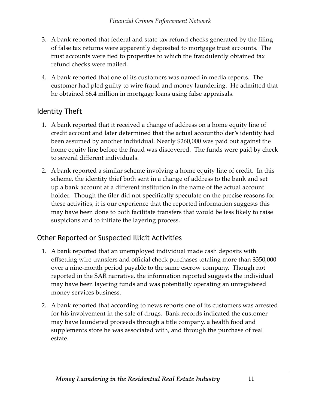- <span id="page-13-0"></span>A bank reported that federal and state tax refund checks generated by the filing 3. of false tax returns were apparently deposited to mortgage trust accounts. The trust accounts were tied to properties to which the fraudulently obtained tax refund checks were mailed.
- A bank reported that one of its customers was named in media reports. The 4. customer had pled guilty to wire fraud and money laundering. He admitted that he obtained \$6.4 million in mortgage loans using false appraisals.

#### Identity Theft

- A bank reported that it received a change of address on a home equity line of 1. credit account and later determined that the actual accountholder's identity had been assumed by another individual. Nearly \$260,000 was paid out against the home equity line before the fraud was discovered. The funds were paid by check to several different individuals.
- A bank reported a similar scheme involving a home equity line of credit. In this 2. scheme, the identity thief both sent in a change of address to the bank and set up a bank account at a different institution in the name of the actual account holder. Though the filer did not specifically speculate on the precise reasons for these activities, it is our experience that the reported information suggests this may have been done to both facilitate transfers that would be less likely to raise suspicions and to initiate the layering process.

#### Other Reported or Suspected Illicit Activities

- A bank reported that an unemployed individual made cash deposits with 1. offsetting wire transfers and official check purchases totaling more than \$350,000 over a nine-month period payable to the same escrow company. Though not reported in the SAR narrative, the information reported suggests the individual may have been layering funds and was potentially operating an unregistered money services business.
- A bank reported that according to news reports one of its customers was arrested 2.for his involvement in the sale of drugs. Bank records indicated the customer may have laundered proceeds through a title company, a health food and supplements store he was associated with, and through the purchase of real estate.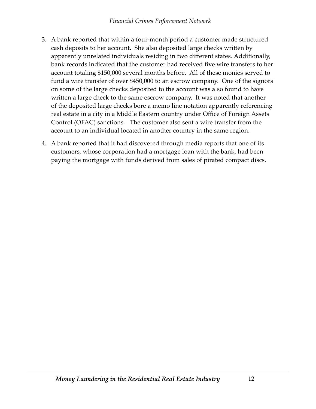- A bank reported that within a four-month period a customer made structured 3. cash deposits to her account. She also deposited large checks written by apparently unrelated individuals residing in two different states. Additionally, bank records indicated that the customer had received five wire transfers to her account totaling \$150,000 several months before. All of these monies served to fund a wire transfer of over \$450,000 to an escrow company. One of the signors on some of the large checks deposited to the account was also found to have written a large check to the same escrow company. It was noted that another of the deposited large checks bore a memo line notation apparently referencing real estate in a city in a Middle Eastern country under Office of Foreign Assets Control (OFAC) sanctions. The customer also sent a wire transfer from the account to an individual located in another country in the same region.
- A bank reported that it had discovered through media reports that one of its 4.customers, whose corporation had a mortgage loan with the bank, had been paying the mortgage with funds derived from sales of pirated compact discs.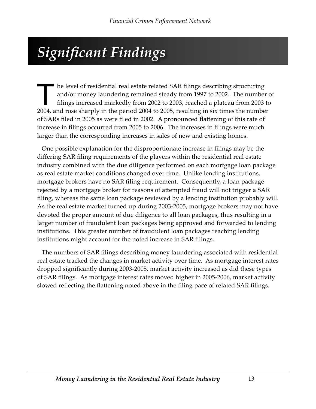## <span id="page-15-0"></span>*Significant Findings*

The level of residential real estate related SAR filings describing structuring<br>and/or money laundering remained steady from 1997 to 2002. The number<br>filings increased markedly from 2002 to 2003, reached a plateau from 200 and/or money laundering remained steady from 1997 to 2002. The number of filings increased markedly from 2002 to 2003, reached a plateau from 2003 to 2004, and rose sharply in the period 2004 to 2005, resulting in six times the number of SARs filed in 2005 as were filed in 2002. A pronounced flattening of this rate of increase in filings occurred from 2005 to 2006. The increases in filings were much larger than the corresponding increases in sales of new and existing homes.

One possible explanation for the disproportionate increase in filings may be the differing SAR filing requirements of the players within the residential real estate industry combined with the due diligence performed on each mortgage loan package as real estate market conditions changed over time. Unlike lending institutions, mortgage brokers have no SAR filing requirement. Consequently, a loan package rejected by a mortgage broker for reasons of attempted fraud will not trigger a SAR filing, whereas the same loan package reviewed by a lending institution probably will. As the real estate market turned up during 2003-2005, mortgage brokers may not have devoted the proper amount of due diligence to all loan packages, thus resulting in a larger number of fraudulent loan packages being approved and forwarded to lending institutions. This greater number of fraudulent loan packages reaching lending institutions might account for the noted increase in SAR filings.

The numbers of SAR filings describing money laundering associated with residential real estate tracked the changes in market activity over time. As mortgage interest rates dropped significantly during 2003-2005, market activity increased as did these types of SAR filings. As mortgage interest rates moved higher in 2005-2006, market activity slowed reflecting the flattening noted above in the filing pace of related SAR filings.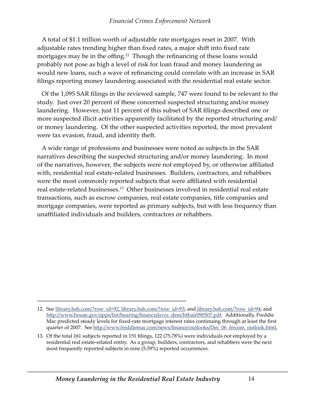A total of \$1.1 trillion worth of adjustable rate mortgages reset in 2007. With adjustable rates trending higher than fixed rates, a major shift into fixed rate mortgages may be in the offing.<sup>12</sup> Though the refinancing of these loans would probably not pose as high a level of risk for loan fraud and money laundering as would new loans, such a wave of refinancing could correlate with an increase in SAR filings reporting money laundering associated with the residential real estate sector.

Of the 1,095 SAR filings in the reviewed sample, 747 were found to be relevant to the study. Just over 20 percent of these concerned suspected structuring and/or money laundering. However, just 11 percent of this subset of SAR filings described one or more suspected illicit activities apparently facilitated by the reported structuring and/ or money laundering. Of the other suspected activities reported, the most prevalent were tax evasion, fraud, and identity theft.

A wide range of professions and businesses were noted as subjects in the SAR narratives describing the suspected structuring and/or money laundering. In most of the narratives, however, the subjects were not employed by, or otherwise affiliated with, residential real estate-related businesses. Builders, contractors, and rehabbers were the most commonly reported subjects that were affiliated with residential real estate-related businesses.<sup>13</sup> Other businesses involved in residential real estate transactions, such as escrow companies, real estate companies, title companies and mortgage companies, were reported as primary subjects, but with less frequency than unaffiliated individuals and builders, contractors or rehabbers.

<sup>12.</sup> See <u>library.hsh.com/?row\_id=92, library.hsh.com/?row\_id=93</u>, and <u>library.hsh.com/?row\_id=94</u>; and http://www.house.gov/apps/list/hearing/financialsvcs\_dem/htbair090507.pdf. Additionally, Freddie Mac predicted steady levels for fixed-rate mortgage interest rates continuing through at least the first quarter of 2007. See http://www.freddiemac.com/news/finance/outlooks/Dec\_06\_frecom\_outlook.html.

Of the total 161 subjects reported in 151 filings, 122 (75.78%) were individuals not employed by a 13.residential real estate-related entity. As a group, builders, contractors, and rehabbers were the next most frequently reported subjects in nine (5.59%) reported occurrences.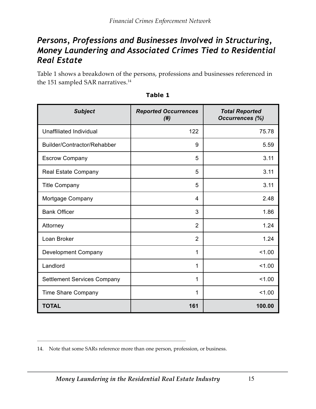#### <span id="page-17-0"></span>*Persons, Professions and Businesses Involved in Structuring, Money Laundering and Associated Crimes Tied to Residential Real Estate*

Table 1 shows a breakdown of the persons, professions and businesses referenced in the 151 sampled SAR narratives.<sup>14</sup>

| <b>Subject</b>                     | <b>Reported Occurrences</b><br>(# ) | <b>Total Reported</b><br><b>Occurrences (%)</b> |
|------------------------------------|-------------------------------------|-------------------------------------------------|
| Unaffiliated Individual            | 122                                 | 75.78                                           |
| Builder/Contractor/Rehabber        | 9                                   | 5.59                                            |
| <b>Escrow Company</b>              | 5                                   | 3.11                                            |
| Real Estate Company                | 5                                   | 3.11                                            |
| <b>Title Company</b>               | 5                                   | 3.11                                            |
| Mortgage Company                   | 4                                   | 2.48                                            |
| <b>Bank Officer</b>                | 3                                   | 1.86                                            |
| Attorney                           | $\overline{2}$                      | 1.24                                            |
| Loan Broker                        | $\overline{2}$                      | 1.24                                            |
| Development Company                | 1                                   | 1.00                                            |
| Landlord                           | 1                                   | 1.00                                            |
| <b>Settlement Services Company</b> | 1                                   | 1.00                                            |
| Time Share Company                 | 1                                   | 1.00                                            |
| <b>TOTAL</b>                       | 161                                 | 100.00                                          |

| able |  |  |
|------|--|--|

<sup>14.</sup> Note that some SARs reference more than one person, profession, or business.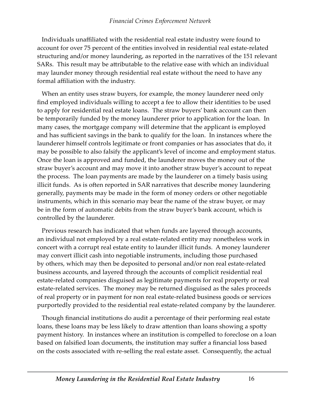Individuals unaffiliated with the residential real estate industry were found to account for over 75 percent of the entities involved in residential real estate-related structuring and/or money laundering, as reported in the narratives of the 151 relevant SARs. This result may be attributable to the relative ease with which an individual may launder money through residential real estate without the need to have any formal affiliation with the industry.

When an entity uses straw buyers, for example, the money launderer need only find employed individuals willing to accept a fee to allow their identities to be used to apply for residential real estate loans. The straw buyers' bank account can then be temporarily funded by the money launderer prior to application for the loan. In many cases, the mortgage company will determine that the applicant is employed and has sufficient savings in the bank to qualify for the loan. In instances where the launderer himself controls legitimate or front companies or has associates that do, it may be possible to also falsify the applicant's level of income and employment status. Once the loan is approved and funded, the launderer moves the money out of the straw buyer's account and may move it into another straw buyer's account to repeat the process. The loan payments are made by the launderer on a timely basis using illicit funds. As is often reported in SAR narratives that describe money laundering generally, payments may be made in the form of money orders or other negotiable instruments, which in this scenario may bear the name of the straw buyer, or may be in the form of automatic debits from the straw buyer's bank account, which is controlled by the launderer.

Previous research has indicated that when funds are layered through accounts, an individual not employed by a real estate-related entity may nonetheless work in concert with a corrupt real estate entity to launder illicit funds. A money launderer may convert illicit cash into negotiable instruments, including those purchased by others, which may then be deposited to personal and/or non real estate-related business accounts, and layered through the accounts of complicit residential real estate-related companies disguised as legitimate payments for real property or real estate-related services. The money may be returned disguised as the sales proceeds of real property or in payment for non real estate-related business goods or services purportedly provided to the residential real estate-related company by the launderer.

Though financial institutions do audit a percentage of their performing real estate loans, these loans may be less likely to draw attention than loans showing a spotty payment history. In instances where an institution is compelled to foreclose on a loan based on falsified loan documents, the institution may suffer a financial loss based on the costs associated with re-selling the real estate asset. Consequently, the actual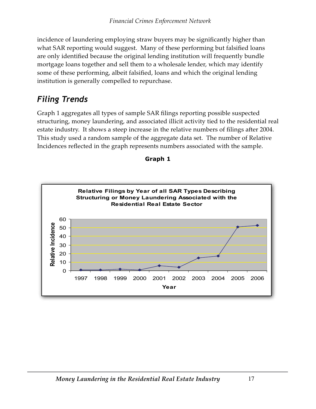<span id="page-19-0"></span>incidence of laundering employing straw buyers may be significantly higher than what SAR reporting would suggest. Many of these performing but falsified loans are only identified because the original lending institution will frequently bundle mortgage loans together and sell them to a wholesale lender, which may identify some of these performing, albeit falsified, loans and which the original lending institution is generally compelled to repurchase.

### *Filing Trends*

Graph 1 aggregates all types of sample SAR filings reporting possible suspected structuring, money laundering, and associated illicit activity tied to the residential real estate industry. It shows a steep increase in the relative numbers of filings after 2004. This study used a random sample of the aggregate data set. The number of Relative Incidences reflected in the graph represents numbers associated with the sample.



**Graph 1**